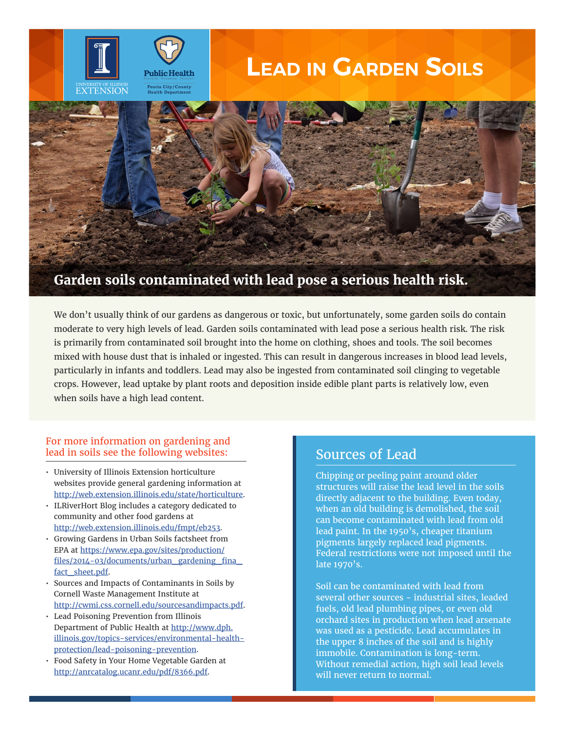# **Lead in Garden Soils**



We don't usually think of our gardens as dangerous or toxic, but unfortunately, some garden soils do contain moderate to very high levels of lead. Garden soils contaminated with lead pose a serious health risk. The risk is primarily from contaminated soil brought into the home on clothing, shoes and tools. The soil becomes mixed with house dust that is inhaled or ingested. This can result in dangerous increases in blood lead levels, particularly in infants and toddlers. Lead may also be ingested from contaminated soil clinging to vegetable crops. However, lead uptake by plant roots and deposition inside edible plant parts is relatively low, even when soils have a high lead content.

#### For more information on gardening and lead in soils see the following websites:

**Public Health** 

- University of Illinois Extension horticulture websites provide general gardening information at http://web.extension.illinois.edu/state/horticulture.
- ILRiverHort Blog includes a category dedicated to community and other food gardens at http://web.extension.illinois.edu/fmpt/eb253.
- Growing Gardens in Urban Soils factsheet from EPA at https://www.epa.gov/sites/production/ files/2014-03/documents/urban\_gardening\_fina\_ fact sheet.pdf.
- Sources and Impacts of Contaminants in Soils by Cornell Waste Management Institute at http://cwmi.css.cornell.edu/sourcesandimpacts.pdf.
- Lead Poisoning Prevention from Illinois Department of Public Health at http://www.dph. illinois.gov/topics-services/environmental-healthprotection/lead-poisoning-prevention.
- Food Safety in Your Home Vegetable Garden at http://anrcatalog.ucanr.edu/pdf/8366.pdf.

#### Sources of Lead

Chipping or peeling paint around older structures will raise the lead level in the soils directly adjacent to the building. Even today, when an old building is demolished, the soil can become contaminated with lead from old lead paint. In the 1950's, cheaper titanium pigments largely replaced lead pigments. Federal restrictions were not imposed until the late 1970's.

Soil can be contaminated with lead from several other sources - industrial sites, leaded fuels, old lead plumbing pipes, or even old orchard sites in production when lead arsenate was used as a pesticide. Lead accumulates in the upper 8 inches of the soil and is highly immobile. Contamination is long-term. Without remedial action, high soil lead levels will never return to normal.